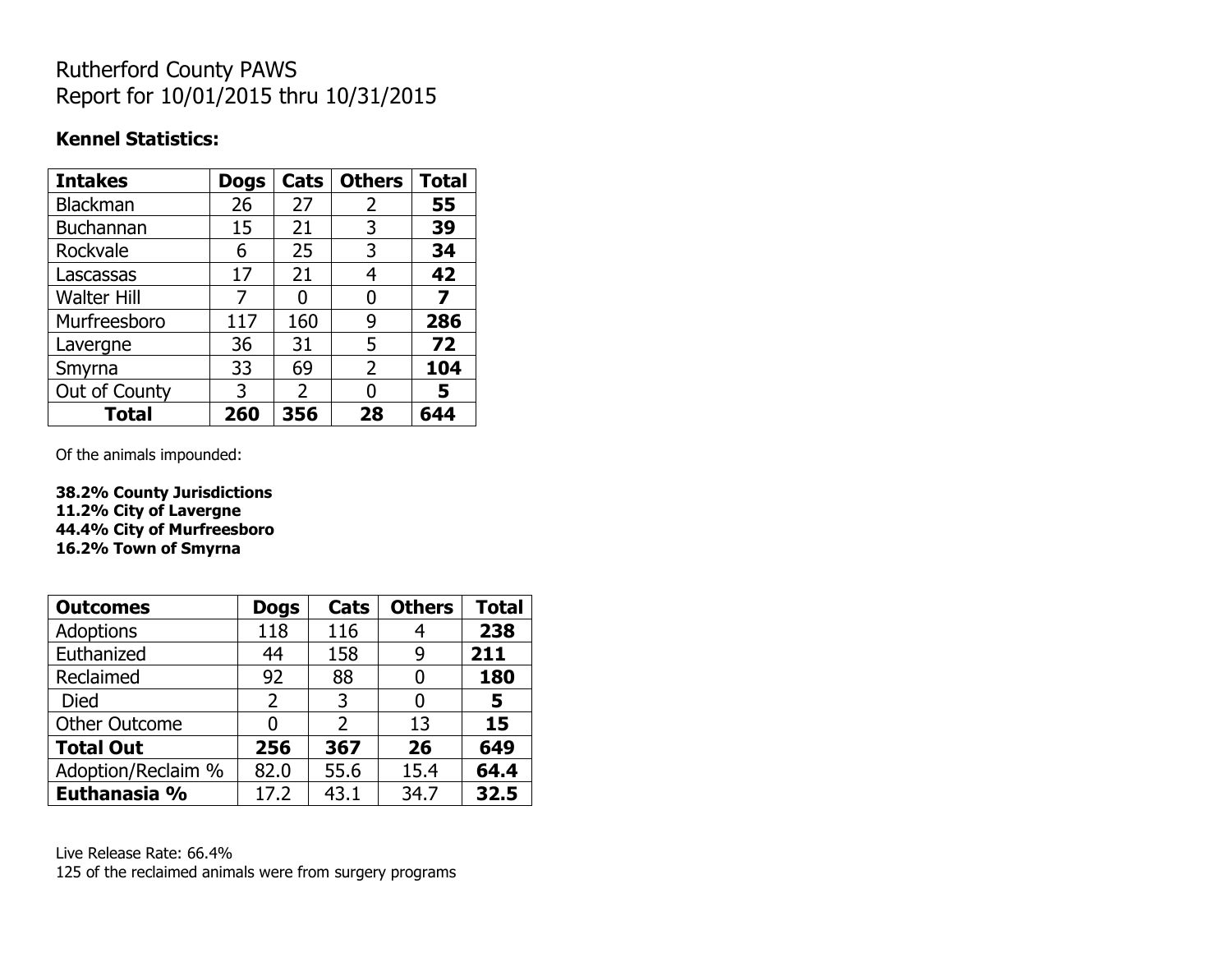# Rutherford County PAWS Report for 10/01/2015 thru 10/31/2015

#### **Kennel Statistics:**

| <b>Intakes</b>     | <b>Dogs</b> | Cats           | <b>Others</b> | <b>Total</b> |
|--------------------|-------------|----------------|---------------|--------------|
| <b>Blackman</b>    | 26          | 27             | 2             | 55           |
| <b>Buchannan</b>   | 15          | 21             | 3             | 39           |
| Rockvale           | 6           | 25             | 3             | 34           |
| Lascassas          | 17          | 21             | 4             | 42           |
| <b>Walter Hill</b> | 7           | 0              | 0             | 7            |
| Murfreesboro       | 117         | 160            | 9             | 286          |
| Lavergne           | 36          | 31             | 5             | 72           |
| Smyrna             | 33          | 69             | 2             | 104          |
| Out of County      | 3           | $\overline{2}$ | 0             | 5            |
| <b>Total</b>       | 260         | 356            | 28            | 644          |

Of the animals impounded:

**38.2% County Jurisdictions 11.2% City of Lavergne 44.4% City of Murfreesboro 16.2% Town of Smyrna**

| <b>Outcomes</b>      | <b>Dogs</b>    | Cats | <b>Others</b> | <b>Total</b> |
|----------------------|----------------|------|---------------|--------------|
| <b>Adoptions</b>     | 118            | 116  |               | 238          |
| Euthanized           | 44             | 158  | 9             | 211          |
| Reclaimed            | 92             | 88   | 0             | 180          |
| Died                 | $\overline{2}$ | 3    | O             | 5            |
| <b>Other Outcome</b> | 0              | 2    | 13            | 15           |
| <b>Total Out</b>     | 256            | 367  | 26            | 649          |
| Adoption/Reclaim %   | 82.0           | 55.6 | 15.4          | 64.4         |
| Euthanasia %         | 17.2           | 43.1 | 34.7          | 32.5         |

Live Release Rate: 66.4% 125 of the reclaimed animals were from surgery programs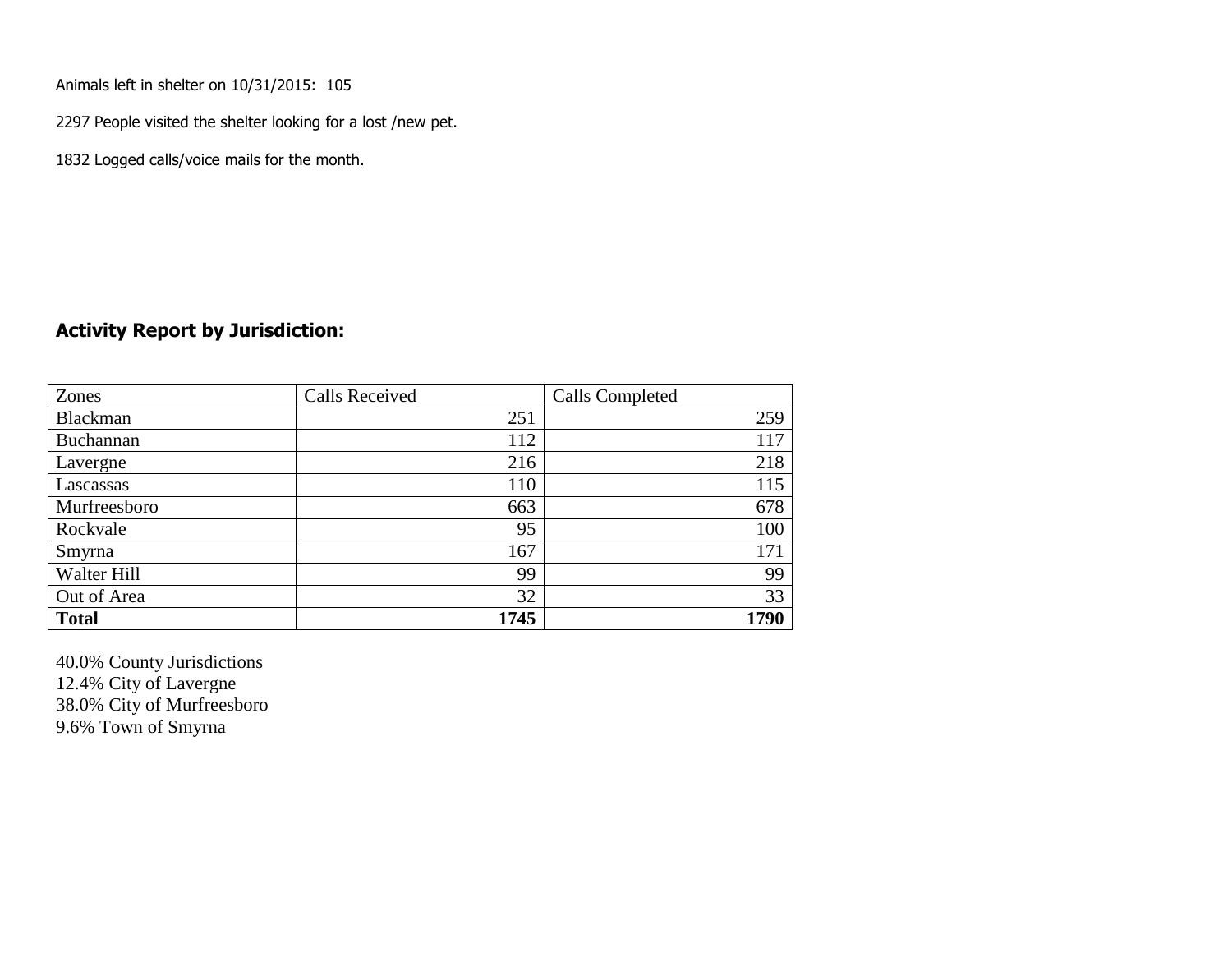Animals left in shelter on 10/31/2015: 105

2297 People visited the shelter looking for a lost /new pet.

1832 Logged calls/voice mails for the month.

#### **Activity Report by Jurisdiction:**

| Zones        | <b>Calls Received</b> | Calls Completed |
|--------------|-----------------------|-----------------|
| Blackman     | 251                   | 259             |
| Buchannan    | 112                   | 117             |
| Lavergne     | 216                   | 218             |
| Lascassas    | 110                   | 115             |
| Murfreesboro | 663                   | 678             |
| Rockvale     | 95                    | 100             |
| Smyrna       | 167                   | 171             |
| Walter Hill  | 99                    | 99              |
| Out of Area  | 32                    | 33              |
| <b>Total</b> | 1745                  | 1790            |

40.0% County Jurisdictions 12.4% City of Lavergne 38.0% City of Murfreesboro 9.6% Town of Smyrna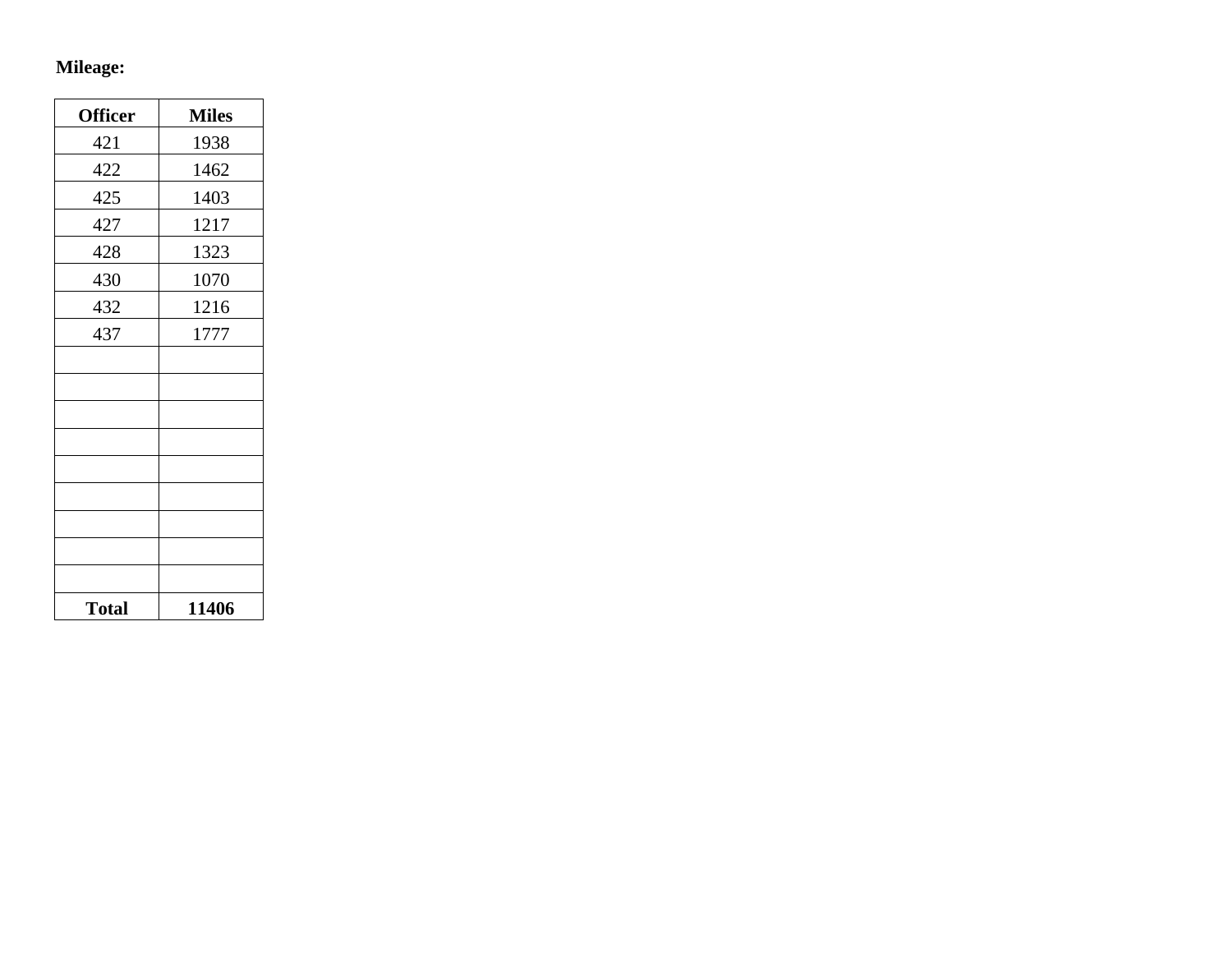# **Mileage:**

| <b>Officer</b> | <b>Miles</b> |
|----------------|--------------|
| 421            | 1938         |
| 422            | 1462         |
| 425            | 1403         |
| 427            | 1217         |
| 428            | 1323         |
| 430            | 1070         |
| 432            | 1216         |
| 437            | 1777         |
|                |              |
|                |              |
|                |              |
|                |              |
|                |              |
|                |              |
|                |              |
|                |              |
|                |              |
| <b>Total</b>   | 11406        |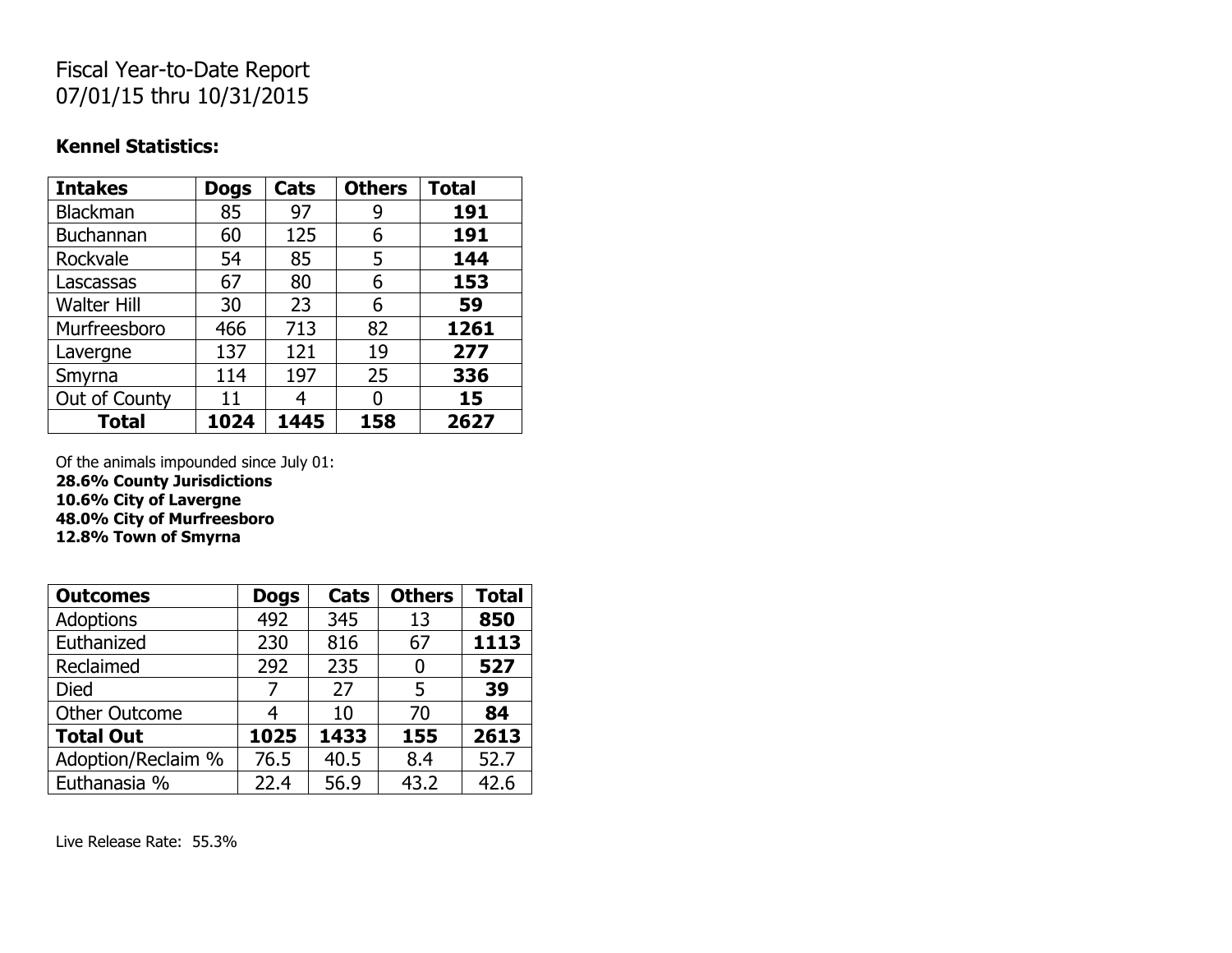## Fiscal Year-to-Date Report 07/01/15 thru 10/31/2015

#### **Kennel Statistics:**

| <b>Intakes</b>     | <b>Dogs</b> | Cats | <b>Others</b> | <b>Total</b> |
|--------------------|-------------|------|---------------|--------------|
| <b>Blackman</b>    | 85          | 97   | 9             | 191          |
| <b>Buchannan</b>   | 60          | 125  | 6             | 191          |
| Rockvale           | 54          | 85   | 5             | 144          |
| Lascassas          | 67          | 80   | 6             | 153          |
| <b>Walter Hill</b> | 30          | 23   | 6             | 59           |
| Murfreesboro       | 466         | 713  | 82            | 1261         |
| Lavergne           | 137         | 121  | 19            | 277          |
| Smyrna             | 114         | 197  | 25            | 336          |
| Out of County      | 11          |      | O             | 15           |
| <b>Total</b>       | 1024        | 1445 | 158           | 2627         |

Of the animals impounded since July 01: **28.6% County Jurisdictions 10.6% City of Lavergne 48.0% City of Murfreesboro 12.8% Town of Smyrna**

| <b>Outcomes</b>      | <b>Dogs</b> | Cats | <b>Others</b> | <b>Total</b> |
|----------------------|-------------|------|---------------|--------------|
| <b>Adoptions</b>     | 492         | 345  | 13            | 850          |
| Euthanized           | 230         | 816  | 67            | 1113         |
| Reclaimed            | 292         | 235  | 0             | 527          |
| <b>Died</b>          | 7           | 27   | 5             | 39           |
| <b>Other Outcome</b> | 4           | 10   | 70            | 84           |
| <b>Total Out</b>     | 1025        | 1433 | 155           | 2613         |
| Adoption/Reclaim %   | 76.5        | 40.5 | 8.4           | 52.7         |
| Euthanasia %         | 22.4        | 56.9 | 43.2          | 42.6         |

Live Release Rate: 55.3%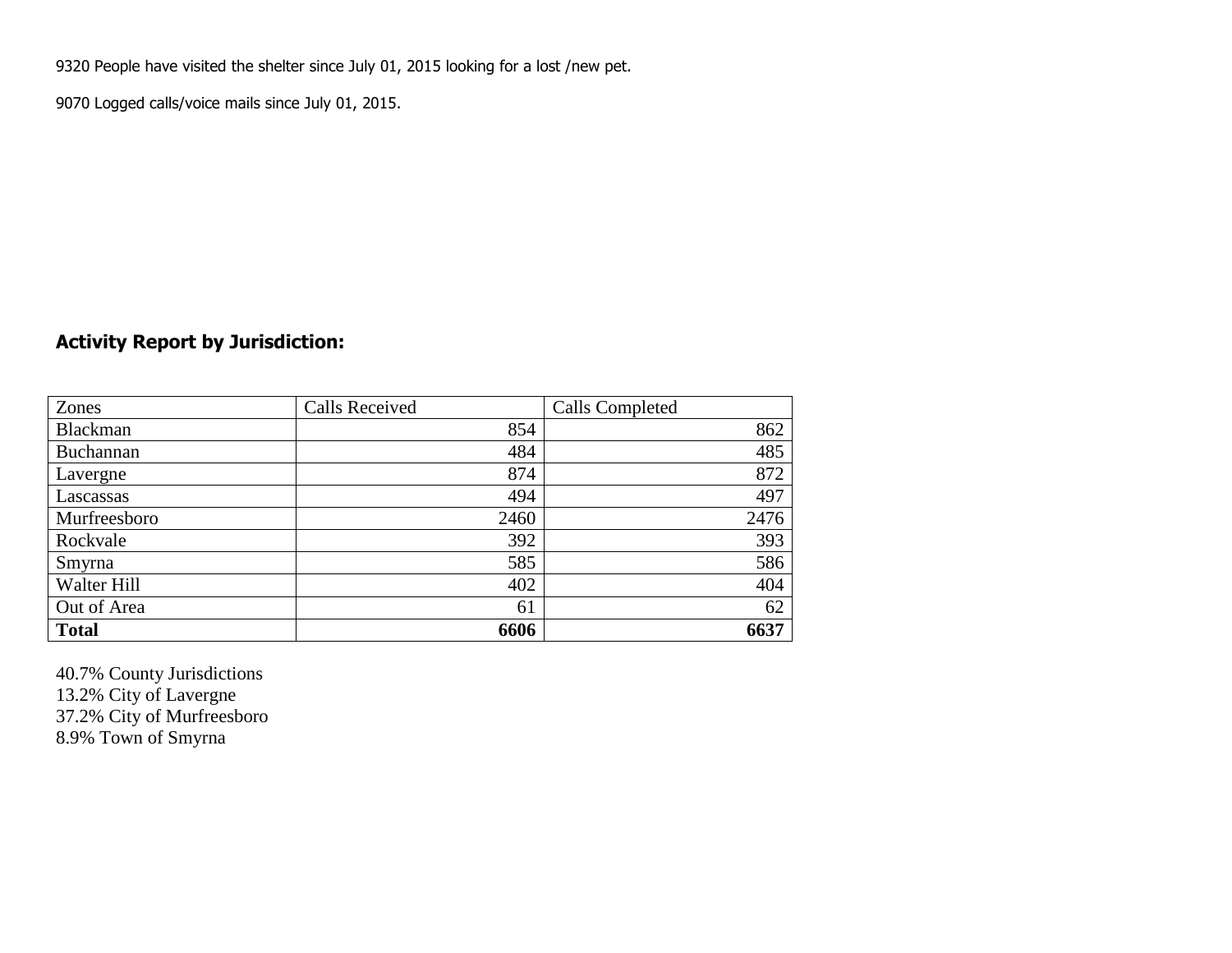9320 People have visited the shelter since July 01, 2015 looking for a lost /new pet.

9070 Logged calls/voice mails since July 01, 2015.

### **Activity Report by Jurisdiction:**

| Zones           | <b>Calls Received</b> | Calls Completed |
|-----------------|-----------------------|-----------------|
| <b>Blackman</b> | 854                   | 862             |
| Buchannan       | 484                   | 485             |
| Lavergne        | 874                   | 872             |
| Lascassas       | 494                   | 497             |
| Murfreesboro    | 2460                  | 2476            |
| Rockvale        | 392                   | 393             |
| Smyrna          | 585                   | 586             |
| Walter Hill     | 402                   | 404             |
| Out of Area     | 61                    | 62              |
| <b>Total</b>    | 6606                  | 6637            |

40.7% County Jurisdictions 13.2% City of Lavergne 37.2% City of Murfreesboro 8.9% Town of Smyrna